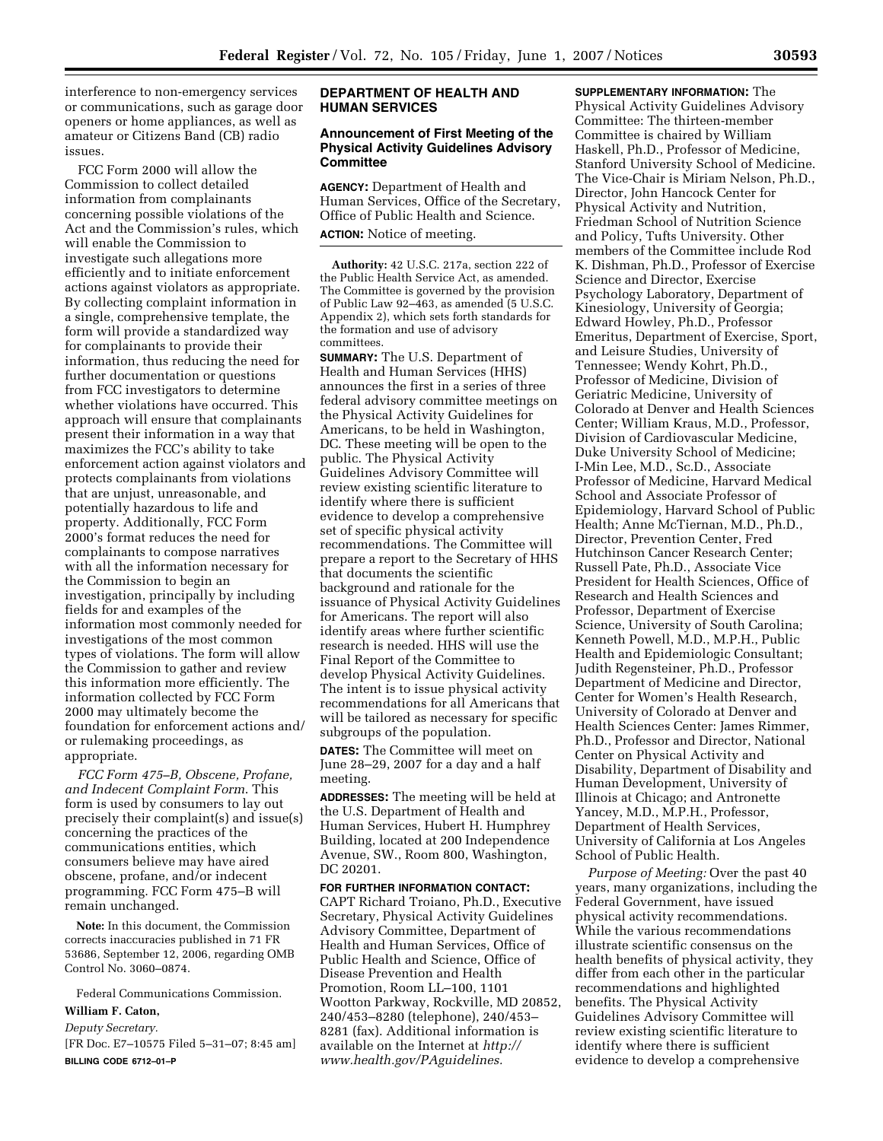interference to non-emergency services or communications, such as garage door openers or home appliances, as well as amateur or Citizens Band (CB) radio issues.

FCC Form 2000 will allow the Commission to collect detailed information from complainants concerning possible violations of the Act and the Commission's rules, which will enable the Commission to investigate such allegations more efficiently and to initiate enforcement actions against violators as appropriate. By collecting complaint information in a single, comprehensive template, the form will provide a standardized way for complainants to provide their information, thus reducing the need for further documentation or questions from FCC investigators to determine whether violations have occurred. This approach will ensure that complainants present their information in a way that maximizes the FCC's ability to take enforcement action against violators and protects complainants from violations that are unjust, unreasonable, and potentially hazardous to life and property. Additionally, FCC Form 2000's format reduces the need for complainants to compose narratives with all the information necessary for the Commission to begin an investigation, principally by including fields for and examples of the information most commonly needed for investigations of the most common types of violations. The form will allow the Commission to gather and review this information more efficiently. The information collected by FCC Form 2000 may ultimately become the foundation for enforcement actions and/ or rulemaking proceedings, as appropriate.

*FCC Form 475–B, Obscene, Profane, and Indecent Complaint Form*. This form is used by consumers to lay out precisely their complaint(s) and issue(s) concerning the practices of the communications entities, which consumers believe may have aired obscene, profane, and/or indecent programming. FCC Form 475–B will remain unchanged.

**Note:** In this document, the Commission corrects inaccuracies published in 71 FR 53686, September 12, 2006, regarding OMB Control No. 3060–0874.

Federal Communications Commission.

#### **William F. Caton,**

*Deputy Secretary.* 

[FR Doc. E7–10575 Filed 5–31–07; 8:45 am] **BILLING CODE 6712–01–P** 

# **DEPARTMENT OF HEALTH AND HUMAN SERVICES**

#### **Announcement of First Meeting of the Physical Activity Guidelines Advisory Committee**

**AGENCY:** Department of Health and Human Services, Office of the Secretary, Office of Public Health and Science. **ACTION:** Notice of meeting.

**Authority:** 42 U.S.C. 217a, section 222 of the Public Health Service Act, as amended. The Committee is governed by the provision of Public Law 92–463, as amended (5 U.S.C. Appendix 2), which sets forth standards for the formation and use of advisory committees.

**SUMMARY:** The U.S. Department of Health and Human Services (HHS) announces the first in a series of three federal advisory committee meetings on the Physical Activity Guidelines for Americans, to be held in Washington, DC. These meeting will be open to the public. The Physical Activity Guidelines Advisory Committee will review existing scientific literature to identify where there is sufficient evidence to develop a comprehensive set of specific physical activity recommendations. The Committee will prepare a report to the Secretary of HHS that documents the scientific background and rationale for the issuance of Physical Activity Guidelines for Americans. The report will also identify areas where further scientific research is needed. HHS will use the Final Report of the Committee to develop Physical Activity Guidelines. The intent is to issue physical activity recommendations for all Americans that will be tailored as necessary for specific subgroups of the population.

**DATES:** The Committee will meet on June 28–29, 2007 for a day and a half meeting.

**ADDRESSES:** The meeting will be held at the U.S. Department of Health and Human Services, Hubert H. Humphrey Building, located at 200 Independence Avenue, SW., Room 800, Washington, DC 20201.

# **FOR FURTHER INFORMATION CONTACT:**

CAPT Richard Troiano, Ph.D., Executive Secretary, Physical Activity Guidelines Advisory Committee, Department of Health and Human Services, Office of Public Health and Science, Office of Disease Prevention and Health Promotion, Room LL–100, 1101 Wootton Parkway, Rockville, MD 20852, 240/453–8280 (telephone), 240/453– 8281 (fax). Additional information is available on the Internet at *http:// www.health.gov/PAguidelines.* 

# **SUPPLEMENTARY INFORMATION:** The Physical Activity Guidelines Advisory Committee: The thirteen-member Committee is chaired by William Haskell, Ph.D., Professor of Medicine, Stanford University School of Medicine. The Vice-Chair is Miriam Nelson, Ph.D., Director, John Hancock Center for Physical Activity and Nutrition, Friedman School of Nutrition Science and Policy, Tufts University. Other members of the Committee include Rod K. Dishman, Ph.D., Professor of Exercise Science and Director, Exercise Psychology Laboratory, Department of Kinesiology, University of Georgia; Edward Howley, Ph.D., Professor Emeritus, Department of Exercise, Sport, and Leisure Studies, University of Tennessee; Wendy Kohrt, Ph.D., Professor of Medicine, Division of Geriatric Medicine, University of Colorado at Denver and Health Sciences Center; William Kraus, M.D., Professor, Division of Cardiovascular Medicine, Duke University School of Medicine; I-Min Lee, M.D., Sc.D., Associate Professor of Medicine, Harvard Medical School and Associate Professor of Epidemiology, Harvard School of Public Health; Anne McTiernan, M.D., Ph.D., Director, Prevention Center, Fred Hutchinson Cancer Research Center; Russell Pate, Ph.D., Associate Vice President for Health Sciences, Office of Research and Health Sciences and Professor, Department of Exercise Science, University of South Carolina; Kenneth Powell, M.D., M.P.H., Public Health and Epidemiologic Consultant; Judith Regensteiner, Ph.D., Professor Department of Medicine and Director, Center for Women's Health Research, University of Colorado at Denver and Health Sciences Center: James Rimmer, Ph.D., Professor and Director, National Center on Physical Activity and Disability, Department of Disability and Human Development, University of Illinois at Chicago; and Antronette Yancey, M.D., M.P.H., Professor,

Department of Health Services, University of California at Los Angeles School of Public Health.

*Purpose of Meeting:* Over the past 40 years, many organizations, including the Federal Government, have issued physical activity recommendations. While the various recommendations illustrate scientific consensus on the health benefits of physical activity, they differ from each other in the particular recommendations and highlighted benefits. The Physical Activity Guidelines Advisory Committee will review existing scientific literature to identify where there is sufficient evidence to develop a comprehensive